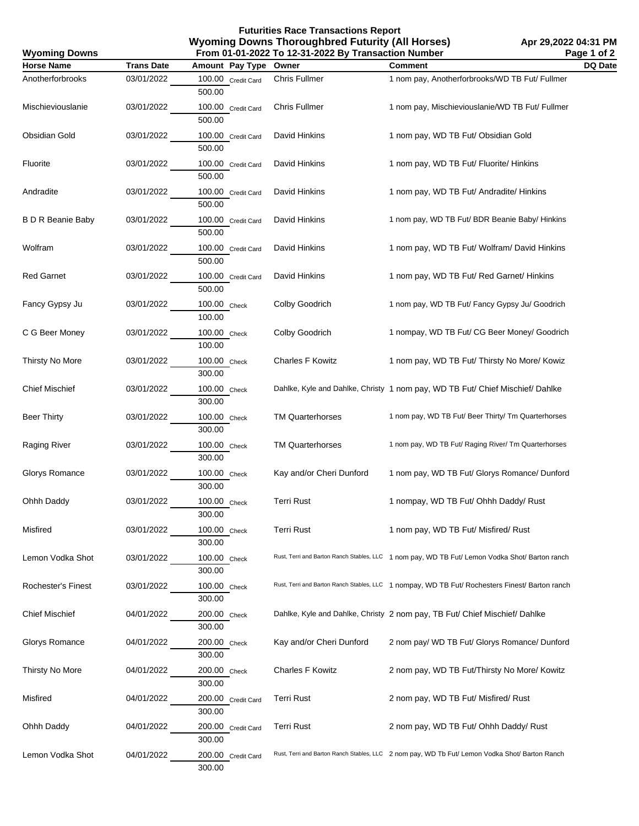**Futurities Race Transactions Report Wyoming Downs Thoroughbred Futurity (All Horses) From 01-01-2022 To 12-31-2022 By Transaction Number**

**Apr 29,2022 04:31 PM Page 1 of 2**

| <b>Wyoming Downs</b>     | From 01-01-2022 To 12-31-2022 By Transaction Number | Page 1 of 2                  |                          |                                                                                                |                |
|--------------------------|-----------------------------------------------------|------------------------------|--------------------------|------------------------------------------------------------------------------------------------|----------------|
| <b>Horse Name</b>        | <b>Trans Date</b>                                   | Amount Pay Type              | Owner                    | <b>Comment</b>                                                                                 | <b>DQ Date</b> |
| Anotherforbrooks         | 03/01/2022                                          | 100.00 Credit Card<br>500.00 | Chris Fullmer            | 1 nom pay, Anotherforbrooks/WD TB Fut/ Fullmer                                                 |                |
| Mischieviouslanie        | 03/01/2022                                          | 100.00 Credit Card<br>500.00 | Chris Fullmer            | 1 nom pay, Mischieviouslanie/WD TB Fut/ Fullmer                                                |                |
| <b>Obsidian Gold</b>     | 03/01/2022                                          | 100.00 Credit Card<br>500.00 | David Hinkins            | 1 nom pay, WD TB Fut/ Obsidian Gold                                                            |                |
| Fluorite                 | 03/01/2022                                          | 100.00 Credit Card<br>500.00 | David Hinkins            | 1 nom pay, WD TB Fut/ Fluorite/ Hinkins                                                        |                |
| Andradite                | 03/01/2022                                          | 100.00 Credit Card<br>500.00 | David Hinkins            | 1 nom pay, WD TB Fut/ Andradite/ Hinkins                                                       |                |
| <b>B D R Beanie Baby</b> | 03/01/2022                                          | 100.00 Credit Card<br>500.00 | David Hinkins            | 1 nom pay, WD TB Fut/ BDR Beanie Baby/ Hinkins                                                 |                |
| Wolfram                  | 03/01/2022                                          | 100.00 Credit Card<br>500.00 | David Hinkins            | 1 nom pay, WD TB Fut/ Wolfram/ David Hinkins                                                   |                |
| <b>Red Garnet</b>        | 03/01/2022                                          | 100.00 Credit Card<br>500.00 | David Hinkins            | 1 nom pay, WD TB Fut/ Red Garnet/ Hinkins                                                      |                |
| Fancy Gypsy Ju           | 03/01/2022                                          | 100.00 Check<br>100.00       | Colby Goodrich           | 1 nom pay, WD TB Fut/ Fancy Gypsy Ju/ Goodrich                                                 |                |
| C G Beer Money           | 03/01/2022                                          | 100.00 Check<br>100.00       | Colby Goodrich           | 1 nompay, WD TB Fut/ CG Beer Money/ Goodrich                                                   |                |
| Thirsty No More          | 03/01/2022                                          | 100.00 Check<br>300.00       | <b>Charles F Kowitz</b>  | 1 nom pay, WD TB Fut/ Thirsty No More/ Kowiz                                                   |                |
| <b>Chief Mischief</b>    | 03/01/2022                                          | 100.00 Check<br>300.00       |                          | Dahlke, Kyle and Dahlke, Christy 1 nom pay, WD TB Fut/ Chief Mischief/ Dahlke                  |                |
| <b>Beer Thirty</b>       | 03/01/2022                                          | 100.00 Check<br>300.00       | <b>TM Quarterhorses</b>  | 1 nom pay, WD TB Fut/ Beer Thirty/ Tm Quarterhorses                                            |                |
| Raging River             | 03/01/2022                                          | 100.00 Check<br>300.00       | <b>TM Quarterhorses</b>  | 1 nom pay, WD TB Fut/ Raging River/ Tm Quarterhorses                                           |                |
| Glorys Romance           | 03/01/2022                                          | 100.00 Check<br>300.00       | Kay and/or Cheri Dunford | 1 nom pay, WD TB Fut/ Glorys Romance/ Dunford                                                  |                |
| Ohhh Daddy               | 03/01/2022                                          | 100.00 Check<br>300.00       | <b>Terri Rust</b>        | 1 nompay, WD TB Fut/ Ohhh Daddy/ Rust                                                          |                |
| Misfired                 | 03/01/2022                                          | 100.00 Check<br>300.00       | <b>Terri Rust</b>        | 1 nom pay, WD TB Fut/ Misfired/ Rust                                                           |                |
| Lemon Vodka Shot         | 03/01/2022                                          | 100.00 Check<br>300.00       |                          | Rust, Terri and Barton Ranch Stables, LLC 1 nom pay, WD TB Fut/ Lemon Vodka Shot/ Barton ranch |                |
| Rochester's Finest       | 03/01/2022                                          | 100.00 Check<br>300.00       |                          | Rust, Terri and Barton Ranch Stables, LLC 1 nompay, WD TB Fut/ Rochesters Finest/ Barton ranch |                |
| <b>Chief Mischief</b>    | 04/01/2022                                          | 200.00 Check<br>300.00       |                          | Dahlke, Kyle and Dahlke, Christy 2 nom pay, TB Fut/ Chief Mischief/ Dahlke                     |                |
| Glorys Romance           | 04/01/2022                                          | 200.00 Check<br>300.00       | Kay and/or Cheri Dunford | 2 nom pay/ WD TB Fut/ Glorys Romance/ Dunford                                                  |                |
| Thirsty No More          | 04/01/2022                                          | 200.00 Check<br>300.00       | <b>Charles F Kowitz</b>  | 2 nom pay, WD TB Fut/Thirsty No More/ Kowitz                                                   |                |
| Misfired                 | 04/01/2022                                          | 200.00 Credit Card<br>300.00 | <b>Terri Rust</b>        | 2 nom pay, WD TB Fut/ Misfired/ Rust                                                           |                |
| Ohhh Daddy               | 04/01/2022                                          | 200.00 Credit Card<br>300.00 | <b>Terri Rust</b>        | 2 nom pay, WD TB Fut/ Ohhh Daddy/ Rust                                                         |                |
| Lemon Vodka Shot         | 04/01/2022                                          | 200.00 Credit Card<br>300.00 |                          | Rust, Terri and Barton Ranch Stables, LLC 2 nom pay, WD Tb Fut/ Lemon Vodka Shot/ Barton Ranch |                |